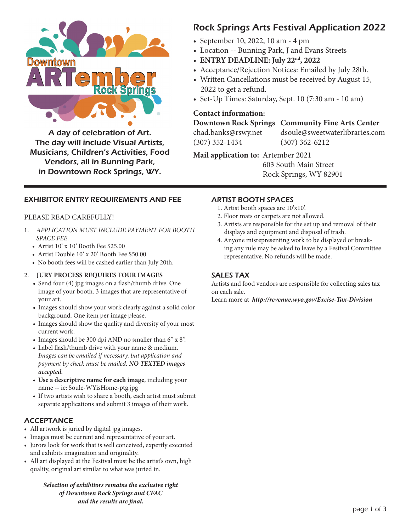

A day of celebration of Art. The day will include Visual Artists, Musicians, Children's Activities, Food Vendors, all in Bunning Park, in Downtown Rock Springs, WY.

# Rock Springs Arts Festival Application 2022

- September 10, 2022, 10 am 4 pm
- Location -- Bunning Park, J and Evans Streets
- **ENTRY DEADLINE: July 22nd, 2022**
- Acceptance/Rejection Notices: Emailed by July 28th.
- Written Cancellations must be received by August 15, 2022 to get a refund.
- Set-Up Times: Saturday, Sept. 10 (7:30 am 10 am)

### **Contact information:**

## **Downtown Rock Springs Community Fine Arts Center**

(307) 352-1434 (307) 362-6212

chad.banks@rswy.net dsoule@sweetwaterlibraries.com

**Mail application to:** Artember 2021 603 South Main Street Rock Springs, WY 82901

# EXHIBITOR ENTRY REQUIREMENTS AND FEE

### PLEASE READ CAREFULLY!

- 1. *APPLICATION MUST INCLUDE PAYMENT FOR BOOTH SPACE FEE.* 
	- Artist 10' x 10' Booth Fee \$25.00
	- Artist Double 10' x 20' Booth Fee \$50.00
	- No booth fees will be cashed earlier than July 20th.

#### 2. **JURY PROCESS REQUIRES FOUR IMAGES**

- Send four (4) jpg images on a flash/thumb drive. One image of your booth. 3 images that are representative of your art.
- Images should show your work clearly against a solid color background. One item per image please.
- Images should show the quality and diversity of your most current work.
- Images should be 300 dpi AND no smaller than 6" x 8".
- Label flash/thumb drive with your name & medium. *Images can be emailed if necessary, but application and payment by check must be mailed. NO TEXTED images accepted.*
- **Use a descriptive name for each image**, including your name -- ie: Soule-WYisHome-ptg.jpg
- If two artists wish to share a booth, each artist must submit separate applications and submit 3 images of their work.

# **ACCEPTANCE**

- All artwork is juried by digital jpg images.
- Images must be current and representative of your art.
- Jurors look for work that is well conceived, expertly executed and exhibits imagination and originality.
- All art displayed at the Festival must be the artist's own, high quality, original art similar to what was juried in.

#### *Selection of exhibitors remains the exclusive right of Downtown Rock Springs and CFAC and the results are final.*

# ARTIST BOOTH SPACES

- 1. Artist booth spaces are 10'x10'.
- 2. Floor mats or carpets are not allowed.
- 3. Artists are responsible for the set up and removal of their displays and equipment and disposal of trash.
- 4. Anyone misrepresenting work to be displayed or breaking any rule may be asked to leave by a Festival Committee representative. No refunds will be made.

# SALES TAX

Artists and food vendors are responsible for collecting sales tax on each sale.

Learn more at *http://revenue.wyo.gov/Excise-Tax-Division*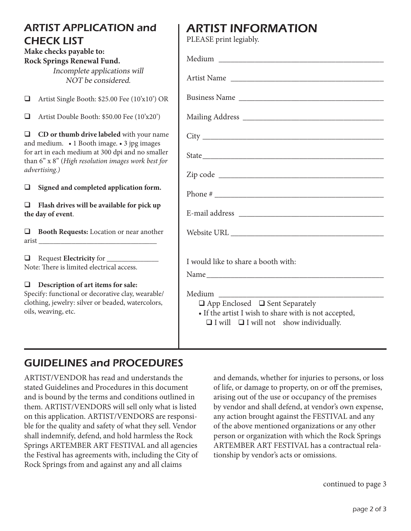# ARTIST APPLICATION and CHECK LIST

### **Make checks payable to: Rock Springs Renewal Fund.**

Incomplete applications will NOT be considered.

 $\Box$  Artist Single Booth: \$25.00 Fee (10'x10') OR

 $\Box$  Artist Double Booth: \$50.00 Fee (10'x20')

**Q** CD or thumb drive labeled with your name and medium. • 1 Booth image. • 3 jpg images for art in each medium at 300 dpi and no smaller than 6" x 8" (*High resolution images work best for advertising.)* 

### □ Signed and completed application form.

□ Flash drives will be available for pick up **the day of event**.

 $\Box$  Booth Requests: Location or near another arist \_\_\_\_\_\_\_\_\_\_\_\_\_\_\_\_\_\_\_\_\_\_\_\_\_\_\_\_\_\_\_\_

**Q** Request **Electricity** for Note: There is limited electrical access.

# $\Box$  Description of art items for sale:

Specify: functional or decorative clay, wearable/ clothing, jewelry: silver or beaded, watercolors, oils, weaving, etc.

# ARTIST INFORMATION

PLEASE print legiably.

| Business Name                                                                                                                                                                |
|------------------------------------------------------------------------------------------------------------------------------------------------------------------------------|
|                                                                                                                                                                              |
|                                                                                                                                                                              |
|                                                                                                                                                                              |
|                                                                                                                                                                              |
|                                                                                                                                                                              |
|                                                                                                                                                                              |
|                                                                                                                                                                              |
|                                                                                                                                                                              |
| I would like to share a booth with:                                                                                                                                          |
| Name                                                                                                                                                                         |
| Medium ________<br>$\Box$ App Enclosed $\Box$ Sent Separately<br>• If the artist I wish to share with is not accepted,<br>$\Box$ I will $\Box$ I will not show individually. |

# GUIDELINES and PROCEDURES

ARTIST/VENDOR has read and understands the stated Guidelines and Procedures in this document and is bound by the terms and conditions outlined in them. ARTIST/VENDORS will sell only what is listed on this application. ARTIST/VENDORS are responsible for the quality and safety of what they sell. Vendor shall indemnify, defend, and hold harmless the Rock Springs ARTEMBER ART FESTIVAL and all agencies the Festival has agreements with, including the City of Rock Springs from and against any and all claims

and demands, whether for injuries to persons, or loss of life, or damage to property, on or off the premises, arising out of the use or occupancy of the premises by vendor and shall defend, at vendor's own expense, any action brought against the FESTIVAL and any of the above mentioned organizations or any other person or organization with which the Rock Springs ARTEMBER ART FESTIVAL has a contractual relationship by vendor's acts or omissions.